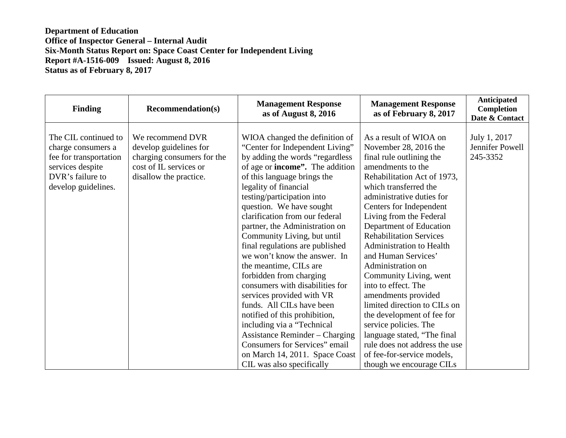| <b>Finding</b>                                                                                                                      | <b>Recommendation(s)</b>                                                                                                     | <b>Management Response</b><br>as of August 8, 2016                                                                                                                                                                                                                                                                                                                                                                                                                                                                                                                                                                                                                                                                                                                                                         | <b>Management Response</b><br>as of February 8, 2017                                                                                                                                                                                                                                                                                                                                                                                                                                                                                                                                                                                                                      | <b>Anticipated</b><br>Completion<br>Date & Contact |
|-------------------------------------------------------------------------------------------------------------------------------------|------------------------------------------------------------------------------------------------------------------------------|------------------------------------------------------------------------------------------------------------------------------------------------------------------------------------------------------------------------------------------------------------------------------------------------------------------------------------------------------------------------------------------------------------------------------------------------------------------------------------------------------------------------------------------------------------------------------------------------------------------------------------------------------------------------------------------------------------------------------------------------------------------------------------------------------------|---------------------------------------------------------------------------------------------------------------------------------------------------------------------------------------------------------------------------------------------------------------------------------------------------------------------------------------------------------------------------------------------------------------------------------------------------------------------------------------------------------------------------------------------------------------------------------------------------------------------------------------------------------------------------|----------------------------------------------------|
| The CIL continued to<br>charge consumers a<br>fee for transportation<br>services despite<br>DVR's failure to<br>develop guidelines. | We recommend DVR<br>develop guidelines for<br>charging consumers for the<br>cost of IL services or<br>disallow the practice. | WIOA changed the definition of<br>"Center for Independent Living"<br>by adding the words "regardless<br>of age or <b>income</b> ". The addition<br>of this language brings the<br>legality of financial<br>testing/participation into<br>question. We have sought<br>clarification from our federal<br>partner, the Administration on<br>Community Living, but until<br>final regulations are published<br>we won't know the answer. In<br>the meantime, CILs are<br>forbidden from charging<br>consumers with disabilities for<br>services provided with VR<br>funds. All CILs have been<br>notified of this prohibition,<br>including via a "Technical"<br><b>Assistance Reminder – Charging</b><br><b>Consumers for Services</b> " email<br>on March 14, 2011. Space Coast<br>CIL was also specifically | As a result of WIOA on<br>November 28, 2016 the<br>final rule outlining the<br>amendments to the<br>Rehabilitation Act of 1973,<br>which transferred the<br>administrative duties for<br>Centers for Independent<br>Living from the Federal<br>Department of Education<br><b>Rehabilitation Services</b><br>Administration to Health<br>and Human Services'<br>Administration on<br>Community Living, went<br>into to effect. The<br>amendments provided<br>limited direction to CILs on<br>the development of fee for<br>service policies. The<br>language stated, "The final<br>rule does not address the use<br>of fee-for-service models,<br>though we encourage CILs | July 1, 2017<br>Jennifer Powell<br>245-3352        |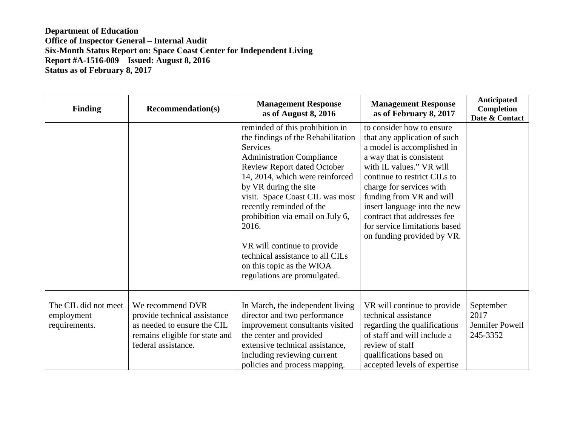| <b>Finding</b>                                      | <b>Recommendation(s)</b>                                                                                                                 | <b>Management Response</b><br>as of August 8, 2016                                                                                                                                                                                                                                                                                                                                                                                                                  | <b>Management Response</b><br>as of February 8, 2017                                                                                                                                                                                                                                                                                                                  | <b>Anticipated</b><br>Completion<br>Date & Contact |
|-----------------------------------------------------|------------------------------------------------------------------------------------------------------------------------------------------|---------------------------------------------------------------------------------------------------------------------------------------------------------------------------------------------------------------------------------------------------------------------------------------------------------------------------------------------------------------------------------------------------------------------------------------------------------------------|-----------------------------------------------------------------------------------------------------------------------------------------------------------------------------------------------------------------------------------------------------------------------------------------------------------------------------------------------------------------------|----------------------------------------------------|
|                                                     |                                                                                                                                          | reminded of this prohibition in<br>the findings of the Rehabilitation<br><b>Services</b><br><b>Administration Compliance</b><br>Review Report dated October<br>14, 2014, which were reinforced<br>by VR during the site<br>visit. Space Coast CIL was most<br>recently reminded of the<br>prohibition via email on July 6,<br>2016.<br>VR will continue to provide<br>technical assistance to all CILs<br>on this topic as the WIOA<br>regulations are promulgated. | to consider how to ensure<br>that any application of such<br>a model is accomplished in<br>a way that is consistent<br>with IL values." VR will<br>continue to restrict CILs to<br>charge for services with<br>funding from VR and will<br>insert language into the new<br>contract that addresses fee<br>for service limitations based<br>on funding provided by VR. |                                                    |
| The CIL did not meet<br>employment<br>requirements. | We recommend DVR<br>provide technical assistance<br>as needed to ensure the CIL<br>remains eligible for state and<br>federal assistance. | In March, the independent living<br>director and two performance<br>improvement consultants visited<br>the center and provided<br>extensive technical assistance,<br>including reviewing current<br>policies and process mapping.                                                                                                                                                                                                                                   | VR will continue to provide<br>technical assistance<br>regarding the qualifications<br>of staff and will include a<br>review of staff<br>qualifications based on<br>accepted levels of expertise                                                                                                                                                                      | September<br>2017<br>Jennifer Powell<br>245-3352   |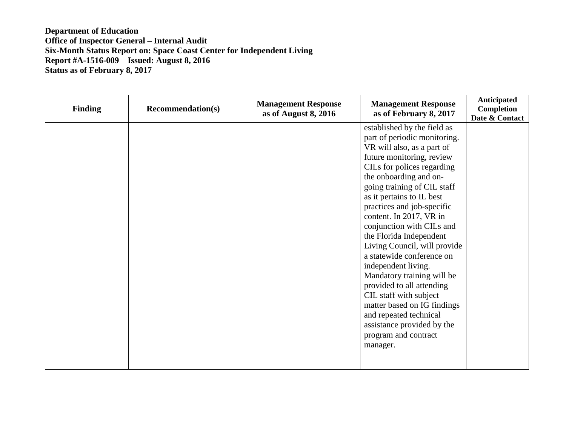| <b>Finding</b> | <b>Recommendation(s)</b> | <b>Management Response</b><br>as of August 8, 2016 | <b>Management Response</b><br>as of February 8, 2017 | Anticipated<br>Completion<br>Date & Contact |
|----------------|--------------------------|----------------------------------------------------|------------------------------------------------------|---------------------------------------------|
|                |                          |                                                    | established by the field as                          |                                             |
|                |                          |                                                    | part of periodic monitoring.                         |                                             |
|                |                          |                                                    | VR will also, as a part of                           |                                             |
|                |                          |                                                    | future monitoring, review                            |                                             |
|                |                          |                                                    | CILs for polices regarding                           |                                             |
|                |                          |                                                    | the onboarding and on-                               |                                             |
|                |                          |                                                    | going training of CIL staff                          |                                             |
|                |                          |                                                    | as it pertains to IL best                            |                                             |
|                |                          |                                                    | practices and job-specific                           |                                             |
|                |                          |                                                    | content. In 2017, VR in                              |                                             |
|                |                          |                                                    | conjunction with CILs and                            |                                             |
|                |                          |                                                    | the Florida Independent                              |                                             |
|                |                          |                                                    | Living Council, will provide                         |                                             |
|                |                          |                                                    | a statewide conference on                            |                                             |
|                |                          |                                                    | independent living.                                  |                                             |
|                |                          |                                                    | Mandatory training will be                           |                                             |
|                |                          |                                                    | provided to all attending                            |                                             |
|                |                          |                                                    | CIL staff with subject                               |                                             |
|                |                          |                                                    | matter based on IG findings                          |                                             |
|                |                          |                                                    | and repeated technical                               |                                             |
|                |                          |                                                    | assistance provided by the                           |                                             |
|                |                          |                                                    | program and contract                                 |                                             |
|                |                          |                                                    | manager.                                             |                                             |
|                |                          |                                                    |                                                      |                                             |
|                |                          |                                                    |                                                      |                                             |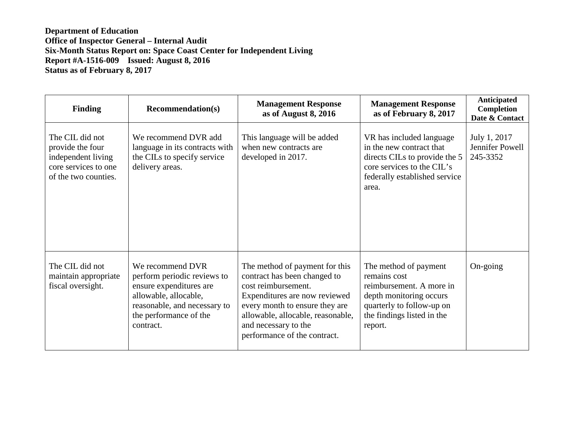| <b>Finding</b>                                                                                            | <b>Recommendation(s)</b>                                                                                                                                                   | <b>Management Response</b><br>as of August 8, 2016                                                                                                                                                                                                    | <b>Management Response</b><br>as of February 8, 2017                                                                                                               | <b>Anticipated</b><br>Completion<br>Date & Contact |
|-----------------------------------------------------------------------------------------------------------|----------------------------------------------------------------------------------------------------------------------------------------------------------------------------|-------------------------------------------------------------------------------------------------------------------------------------------------------------------------------------------------------------------------------------------------------|--------------------------------------------------------------------------------------------------------------------------------------------------------------------|----------------------------------------------------|
| The CIL did not<br>provide the four<br>independent living<br>core services to one<br>of the two counties. | We recommend DVR add<br>language in its contracts with<br>the CILs to specify service<br>delivery areas.                                                                   | This language will be added<br>when new contracts are<br>developed in 2017.                                                                                                                                                                           | VR has included language<br>in the new contract that<br>directs CILs to provide the 5<br>core services to the CIL's<br>federally established service<br>area.      | July 1, 2017<br>Jennifer Powell<br>245-3352        |
| The CIL did not<br>maintain appropriate<br>fiscal oversight.                                              | We recommend DVR<br>perform periodic reviews to<br>ensure expenditures are<br>allowable, allocable,<br>reasonable, and necessary to<br>the performance of the<br>contract. | The method of payment for this<br>contract has been changed to<br>cost reimbursement.<br>Expenditures are now reviewed<br>every month to ensure they are<br>allowable, allocable, reasonable,<br>and necessary to the<br>performance of the contract. | The method of payment<br>remains cost<br>reimbursement. A more in<br>depth monitoring occurs<br>quarterly to follow-up on<br>the findings listed in the<br>report. | $On\text{-going}$                                  |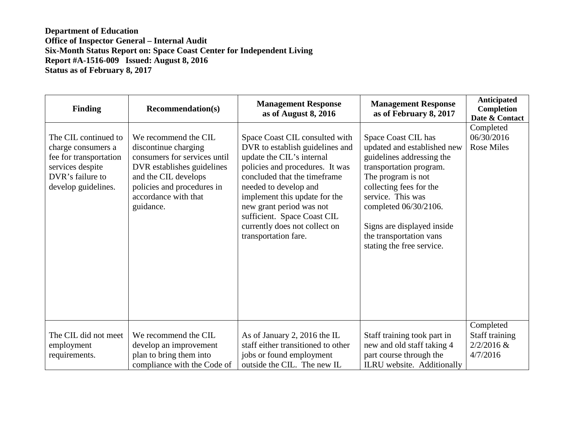| <b>Finding</b>                                                                                                                      | <b>Recommendation(s)</b>                                                                                                                                                                              | <b>Management Response</b><br>as of August 8, 2016                                                                                                                                                                                                                                                                                              | <b>Management Response</b><br>as of February 8, 2017                                                                                                                                                                                                                                            | <b>Anticipated</b><br>Completion<br>Date & Contact      |
|-------------------------------------------------------------------------------------------------------------------------------------|-------------------------------------------------------------------------------------------------------------------------------------------------------------------------------------------------------|-------------------------------------------------------------------------------------------------------------------------------------------------------------------------------------------------------------------------------------------------------------------------------------------------------------------------------------------------|-------------------------------------------------------------------------------------------------------------------------------------------------------------------------------------------------------------------------------------------------------------------------------------------------|---------------------------------------------------------|
| The CIL continued to<br>charge consumers a<br>fee for transportation<br>services despite<br>DVR's failure to<br>develop guidelines. | We recommend the CIL<br>discontinue charging<br>consumers for services until<br>DVR establishes guidelines<br>and the CIL develops<br>policies and procedures in<br>accordance with that<br>guidance. | Space Coast CIL consulted with<br>DVR to establish guidelines and<br>update the CIL's internal<br>policies and procedures. It was<br>concluded that the timeframe<br>needed to develop and<br>implement this update for the<br>new grant period was not<br>sufficient. Space Coast CIL<br>currently does not collect on<br>transportation fare. | Space Coast CIL has<br>updated and established new<br>guidelines addressing the<br>transportation program.<br>The program is not<br>collecting fees for the<br>service. This was<br>completed 06/30/2106.<br>Signs are displayed inside<br>the transportation vans<br>stating the free service. | Completed<br>06/30/2016<br><b>Rose Miles</b>            |
| The CIL did not meet<br>employment<br>requirements.                                                                                 | We recommend the CIL<br>develop an improvement<br>plan to bring them into<br>compliance with the Code of                                                                                              | As of January 2, 2016 the IL<br>staff either transitioned to other<br>jobs or found employment<br>outside the CIL. The new IL                                                                                                                                                                                                                   | Staff training took part in<br>new and old staff taking 4<br>part course through the<br>ILRU website. Additionally                                                                                                                                                                              | Completed<br>Staff training<br>$2/2/2016$ &<br>4/7/2016 |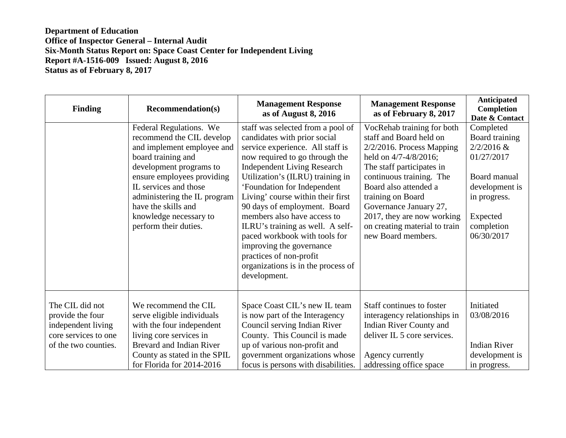| <b>Finding</b>                                                                                            | <b>Recommendation(s)</b>                                                                                                                                                                                                                                                                             | <b>Management Response</b><br>as of August 8, 2016                                                                                                                                                                                                                                                                                                                                                                                                                                                                                     | <b>Management Response</b><br>as of February 8, 2017                                                                                                                                                                                                                                                                                 | Anticipated<br>Completion<br>Date & Contact                                                                                                         |
|-----------------------------------------------------------------------------------------------------------|------------------------------------------------------------------------------------------------------------------------------------------------------------------------------------------------------------------------------------------------------------------------------------------------------|----------------------------------------------------------------------------------------------------------------------------------------------------------------------------------------------------------------------------------------------------------------------------------------------------------------------------------------------------------------------------------------------------------------------------------------------------------------------------------------------------------------------------------------|--------------------------------------------------------------------------------------------------------------------------------------------------------------------------------------------------------------------------------------------------------------------------------------------------------------------------------------|-----------------------------------------------------------------------------------------------------------------------------------------------------|
|                                                                                                           | Federal Regulations. We<br>recommend the CIL develop<br>and implement employee and<br>board training and<br>development programs to<br>ensure employees providing<br>IL services and those<br>administering the IL program<br>have the skills and<br>knowledge necessary to<br>perform their duties. | staff was selected from a pool of<br>candidates with prior social<br>service experience. All staff is<br>now required to go through the<br><b>Independent Living Research</b><br>Utilization's (ILRU) training in<br>'Foundation for Independent<br>Living' course within their first<br>90 days of employment. Board<br>members also have access to<br>ILRU's training as well. A self-<br>paced workbook with tools for<br>improving the governance<br>practices of non-profit<br>organizations is in the process of<br>development. | VocRehab training for both<br>staff and Board held on<br>$2/2/2016$ . Process Mapping<br>held on 4/7-4/8/2016;<br>The staff participates in<br>continuous training. The<br>Board also attended a<br>training on Board<br>Governance January 27,<br>2017, they are now working<br>on creating material to train<br>new Board members. | Completed<br>Board training<br>$2/2/2016$ &<br>01/27/2017<br>Board manual<br>development is<br>in progress.<br>Expected<br>completion<br>06/30/2017 |
| The CIL did not<br>provide the four<br>independent living<br>core services to one<br>of the two counties. | We recommend the CIL<br>serve eligible individuals<br>with the four independent<br>living core services in<br><b>Brevard and Indian River</b><br>County as stated in the SPIL<br>for Florida for 2014-2016                                                                                           | Space Coast CIL's new IL team<br>is now part of the Interagency<br>Council serving Indian River<br>County. This Council is made<br>up of various non-profit and<br>government organizations whose<br>focus is persons with disabilities.                                                                                                                                                                                                                                                                                               | Staff continues to foster<br>interagency relationships in<br>Indian River County and<br>deliver IL 5 core services.<br>Agency currently<br>addressing office space                                                                                                                                                                   | Initiated<br>03/08/2016<br><b>Indian River</b><br>development is<br>in progress.                                                                    |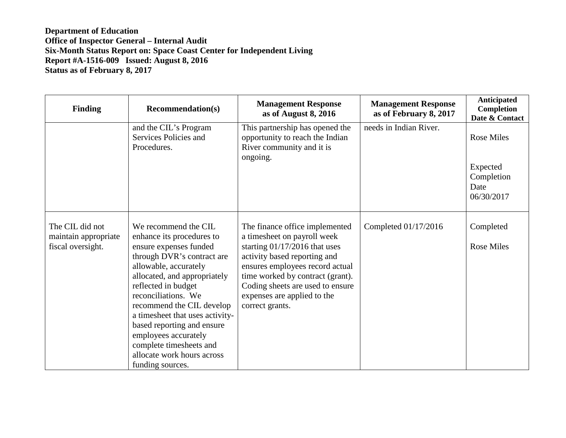| <b>Finding</b>                                               | <b>Recommendation(s)</b>                                                                                                                                                                                                                                                                                                                                                                                            | <b>Management Response</b><br>as of August 8, 2016                                                                                                                                                                                                                                            | <b>Management Response</b><br>as of February 8, 2017 | <b>Anticipated</b><br>Completion<br>Date & Contact                |
|--------------------------------------------------------------|---------------------------------------------------------------------------------------------------------------------------------------------------------------------------------------------------------------------------------------------------------------------------------------------------------------------------------------------------------------------------------------------------------------------|-----------------------------------------------------------------------------------------------------------------------------------------------------------------------------------------------------------------------------------------------------------------------------------------------|------------------------------------------------------|-------------------------------------------------------------------|
|                                                              | and the CIL's Program<br>Services Policies and<br>Procedures.                                                                                                                                                                                                                                                                                                                                                       | This partnership has opened the<br>opportunity to reach the Indian<br>River community and it is<br>ongoing.                                                                                                                                                                                   | needs in Indian River.                               | <b>Rose Miles</b><br>Expected<br>Completion<br>Date<br>06/30/2017 |
| The CIL did not<br>maintain appropriate<br>fiscal oversight. | We recommend the CIL<br>enhance its procedures to<br>ensure expenses funded<br>through DVR's contract are<br>allowable, accurately<br>allocated, and appropriately<br>reflected in budget<br>reconciliations. We<br>recommend the CIL develop<br>a timesheet that uses activity-<br>based reporting and ensure<br>employees accurately<br>complete timesheets and<br>allocate work hours across<br>funding sources. | The finance office implemented<br>a timesheet on payroll week<br>starting $01/17/2016$ that uses<br>activity based reporting and<br>ensures employees record actual<br>time worked by contract (grant).<br>Coding sheets are used to ensure<br>expenses are applied to the<br>correct grants. | Completed 01/17/2016                                 | Completed<br><b>Rose Miles</b>                                    |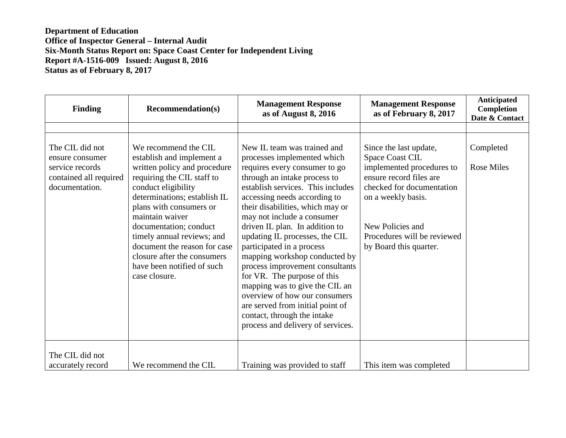| <b>Finding</b>                                                                                    | <b>Recommendation(s)</b>                                                                                                                                                                                                                                                                                                                                                                   | <b>Management Response</b><br>as of August 8, 2016                                                                                                                                                                                                                                                                                                                                                                                                                                                                                                                                                                                                | <b>Management Response</b><br>as of February 8, 2017                                                                                                                                                                                     | Anticipated<br>Completion<br>Date & Contact |
|---------------------------------------------------------------------------------------------------|--------------------------------------------------------------------------------------------------------------------------------------------------------------------------------------------------------------------------------------------------------------------------------------------------------------------------------------------------------------------------------------------|---------------------------------------------------------------------------------------------------------------------------------------------------------------------------------------------------------------------------------------------------------------------------------------------------------------------------------------------------------------------------------------------------------------------------------------------------------------------------------------------------------------------------------------------------------------------------------------------------------------------------------------------------|------------------------------------------------------------------------------------------------------------------------------------------------------------------------------------------------------------------------------------------|---------------------------------------------|
|                                                                                                   |                                                                                                                                                                                                                                                                                                                                                                                            |                                                                                                                                                                                                                                                                                                                                                                                                                                                                                                                                                                                                                                                   |                                                                                                                                                                                                                                          |                                             |
| The CIL did not<br>ensure consumer<br>service records<br>contained all required<br>documentation. | We recommend the CIL<br>establish and implement a<br>written policy and procedure<br>requiring the CIL staff to<br>conduct eligibility<br>determinations; establish IL<br>plans with consumers or<br>maintain waiver<br>documentation; conduct<br>timely annual reviews; and<br>document the reason for case<br>closure after the consumers<br>have been notified of such<br>case closure. | New IL team was trained and<br>processes implemented which<br>requires every consumer to go<br>through an intake process to<br>establish services. This includes<br>accessing needs according to<br>their disabilities, which may or<br>may not include a consumer<br>driven IL plan. In addition to<br>updating IL processes, the CIL<br>participated in a process<br>mapping workshop conducted by<br>process improvement consultants<br>for VR. The purpose of this<br>mapping was to give the CIL an<br>overview of how our consumers<br>are served from initial point of<br>contact, through the intake<br>process and delivery of services. | Since the last update,<br><b>Space Coast CIL</b><br>implemented procedures to<br>ensure record files are<br>checked for documentation<br>on a weekly basis.<br>New Policies and<br>Procedures will be reviewed<br>by Board this quarter. | Completed<br><b>Rose Miles</b>              |
| The CIL did not<br>accurately record                                                              | We recommend the CIL                                                                                                                                                                                                                                                                                                                                                                       | Training was provided to staff                                                                                                                                                                                                                                                                                                                                                                                                                                                                                                                                                                                                                    | This item was completed                                                                                                                                                                                                                  |                                             |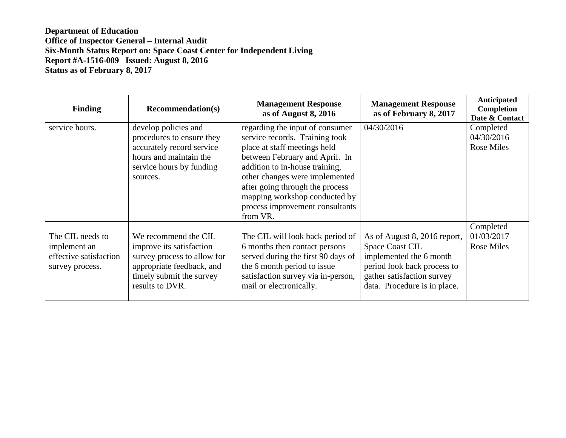| <b>Finding</b>                                                                | <b>Recommendation(s)</b>                                                                                                                                    | <b>Management Response</b><br>as of August 8, 2016                                                                                                                                                                                                                                                                         | <b>Management Response</b><br>as of February 8, 2017                                                                                                                    | <b>Anticipated</b><br>Completion<br>Date & Contact |
|-------------------------------------------------------------------------------|-------------------------------------------------------------------------------------------------------------------------------------------------------------|----------------------------------------------------------------------------------------------------------------------------------------------------------------------------------------------------------------------------------------------------------------------------------------------------------------------------|-------------------------------------------------------------------------------------------------------------------------------------------------------------------------|----------------------------------------------------|
| service hours.                                                                | develop policies and<br>procedures to ensure they<br>accurately record service<br>hours and maintain the<br>service hours by funding<br>sources.            | regarding the input of consumer<br>service records. Training took<br>place at staff meetings held<br>between February and April. In<br>addition to in-house training,<br>other changes were implemented<br>after going through the process<br>mapping workshop conducted by<br>process improvement consultants<br>from VR. | 04/30/2016                                                                                                                                                              | Completed<br>04/30/2016<br><b>Rose Miles</b>       |
| The CIL needs to<br>implement an<br>effective satisfaction<br>survey process. | We recommend the CIL<br>improve its satisfaction<br>survey process to allow for<br>appropriate feedback, and<br>timely submit the survey<br>results to DVR. | The CIL will look back period of<br>6 months then contact persons<br>served during the first 90 days of<br>the 6 month period to issue<br>satisfaction survey via in-person,<br>mail or electronically.                                                                                                                    | As of August 8, 2016 report,<br>Space Coast CIL<br>implemented the 6 month<br>period look back process to<br>gather satisfaction survey<br>data. Procedure is in place. | Completed<br>01/03/2017<br><b>Rose Miles</b>       |